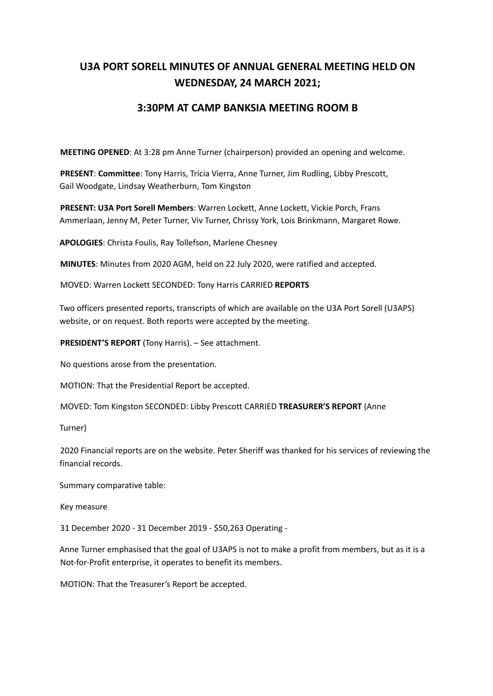## **U3A PORT SORELL MINUTES OF ANNUAL GENERAL MEETING HELD ON WEDNESDAY, 24 MARCH 2021;**

## **3:30PM AT CAMP BANKSIA MEETING ROOM B**

**MEETING OPENED**: At 3:28 pm Anne Turner (chairperson) provided an opening and welcome.

**PRESENT**: **Committee**: Tony Harris, Tricia Vierra, Anne Turner, Jim Rudling, Libby Prescott, Gail Woodgate, Lindsay Weatherburn, Tom Kingston

**PRESENT: U3A Port Sorell Members**: Warren Lockett, Anne Lockett, Vickie Porch, Frans Ammerlaan, Jenny M, Peter Turner, Viv Turner, Chrissy York, Lois Brinkmann, Margaret Rowe.

**APOLOGIES**: Christa Foulis, Ray Tollefson, Marlene Chesney

**MINUTES**: Minutes from 2020 AGM, held on 22 July 2020, were ratified and accepted.

MOVED: Warren Lockett SECONDED: Tony Harris CARRIED **REPORTS**

Two officers presented reports, transcripts of which are available on the U3A Port Sorell (U3APS) website, or on request. Both reports were accepted by the meeting.

**PRESIDENT'S REPORT** (Tony Harris). – See attachment.

No questions arose from the presentation.

MOTION: That the Presidential Report be accepted.

MOVED: Tom Kingston SECONDED: Libby Prescott CARRIED **TREASURER'S REPORT** (Anne

Turner)

2020 Financial reports are on the website. Peter Sheriff was thanked for his services of reviewing the financial records.

Summary comparative table:

Key measure

31 December 2020 - 31 December 2019 - \$50,263 Operating -

Anne Turner emphasised that the goal of U3APS is not to make a profit from members, but as it is a Not-for-Profit enterprise, it operates to benefit its members.

MOTION: That the Treasurer's Report be accepted.